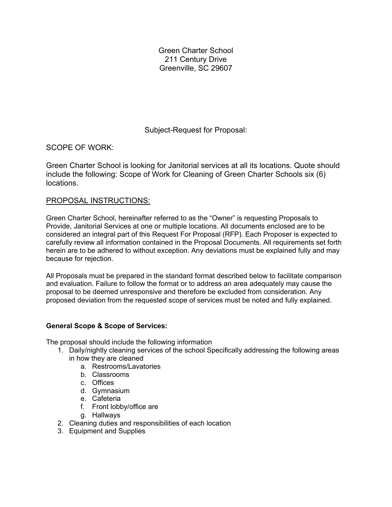Green Charter School 211 Century Drive Greenville, SC 29607

Subject-Request for Proposal:

SCOPE OF WORK:

Green Charter School is looking for Janitorial services at all its locations. Quote should include the following: Scope of Work for Cleaning of Green Charter Schools six (6) locations.

# PROPOSAL INSTRUCTIONS:

Green Charter School, hereinafter referred to as the "Owner" is requesting Proposals to Provide, Janitorial Services at one or multiple locations. All documents enclosed are to be considered an integral part of this Request For Proposal (RFP). Each Proposer is expected to carefully review all information contained in the Proposal Documents. All requirements set forth herein are to be adhered to without exception. Any deviations must be explained fully and may because for rejection.

All Proposals must be prepared in the standard format described below to facilitate comparison and evaluation. Failure to follow the format or to address an area adequately may cause the proposal to be deemed unresponsive and therefore be excluded from consideration. Any proposed deviation from the requested scope of services must be noted and fully explained.

# **General Scope & Scope of Services:**

The proposal should include the following information

- 1. Daily/nightly cleaning services of the school Specifically addressing the following areas
	- in how they are cleaned
		- a. Restrooms/Lavatories
		- b. Classrooms
		- c. Offices
		- d. Gymnasium
		- e. Cafeteria
		- f. Front lobby/office are
		- g. Hallways
- 2. Cleaning duties and responsibilities of each location
- 3. Equipment and Supplies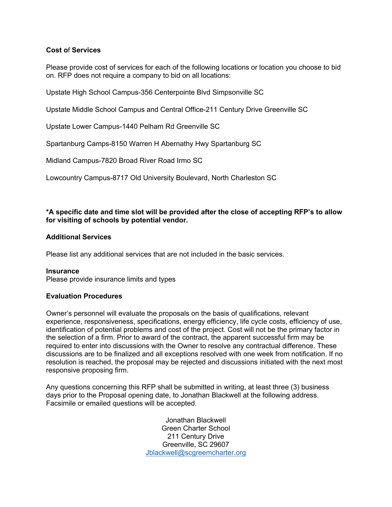# **Cost o**f **Services**

Please provide cost of services for each of the following locations or location you choose to bid on. RFP does not require a company to bid on all locations:

Upstate High School Campus-356 Centerpointe Blvd Simpsonville SC

Upstate Middle School Campus and Central Office-211 Century Drive Greenville SC

Upstate Lower Campus-1440 Pelham Rd Greenville SC

Spartanburg Camps-8150 Warren H Abernathy Hwy Spartanburg SC

Midland Campus-7820 Broad River Road Irmo SC

Lowcountry Campus-8717 Old University Boulevard, North Charleston SC

#### **\*A specific date and time slot will be provided after the close of accepting RFP's to allow for visiting of schools by potential vendor.**

#### **Additional Services**

Please list any additional services that are not included in the basic services.

**Insurance** Please provide insurance limits and types

#### **Evaluation Procedures**

Owner's personnel will evaluate the proposals on the basis of qualifications, relevant experience, responsiveness, specifications, energy efficiency, life cycle costs, efficiency of use, identification of potential problems and cost of the project. Cost will not be the primary factor in the selection of a firm. Prior to award of the contract, the apparent successful firm may be required to enter into discussions with the Owner to resolve any contractual difference. These discussions are to be finalized and all exceptions resolved with one week from notification. If no resolution is reached, the proposal may be rejected and discussions initiated with the next most responsive proposing firm.

Any questions concerning this RFP shall be submitted in writing, at least three (3) business days prior to the Proposal opening date, to Jonathan Blackwell at the following address. Facsimile or emailed questions will be accepted.

> Jonathan Blackwell Green Charter School 211 Century Drive Greenville, SC 29607 Jblackwell@scgreemcharter.org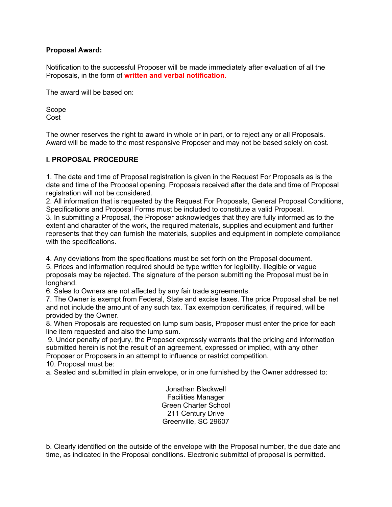## **Proposal Award:**

Notification to the successful Proposer will be made immediately after evaluation of all the Proposals, in the form of **written and verbal notification.**

The award will be based on:

Scope Cost

The owner reserves the right to award in whole or in part, or to reject any or all Proposals. Award will be made to the most responsive Proposer and may not be based solely on cost.

## **I. PROPOSAL PROCEDURE**

1. The date and time of Proposal registration is given in the Request For Proposals as is the date and time of the Proposal opening. Proposals received after the date and time of Proposal registration will not be considered.

2. All information that is requested by the Request For Proposals, General Proposal Conditions, Specifications and Proposal Forms must be included to constitute a valid Proposal.

3. In submitting a Proposal, the Proposer acknowledges that they are fully informed as to the extent and character of the work, the required materials, supplies and equipment and further represents that they can furnish the materials, supplies and equipment in complete compliance with the specifications.

4. Any deviations from the specifications must be set forth on the Proposal document.

5. Prices and information required should be type written for legibility. Illegible or vague proposals may be rejected. The signature of the person submitting the Proposal must be in longhand.

6. Sales to Owners are not affected by any fair trade agreements.

7. The Owner is exempt from Federal, State and excise taxes. The price Proposal shall be net and not include the amount of any such tax. Tax exemption certificates, if required, will be provided by the Owner.

8. When Proposals are requested on lump sum basis, Proposer must enter the price for each line item requested and also the lump sum.

9. Under penalty of perjury, the Proposer expressly warrants that the pricing and information submitted herein is not the result of an agreement, expressed or implied, with any other Proposer or Proposers in an attempt to influence or restrict competition.

10. Proposal must be:

a. Sealed and submitted in plain envelope, or in one furnished by the Owner addressed to:

Jonathan Blackwell Facilities Manager Green Charter School 211 Century Drive Greenville, SC 29607

b. Clearly identified on the outside of the envelope with the Proposal number, the due date and time, as indicated in the Proposal conditions. Electronic submittal of proposal is permitted.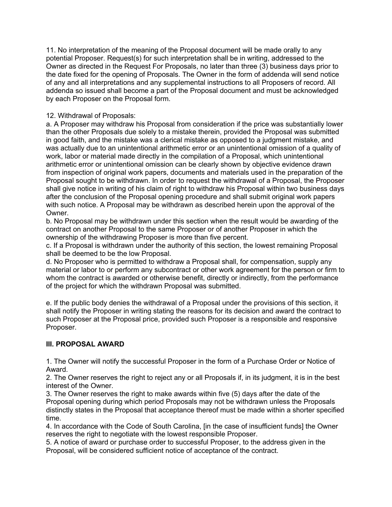11. No interpretation of the meaning of the Proposal document will be made orally to any potential Proposer. Request(s) for such interpretation shall be in writing, addressed to the Owner as directed in the Request For Proposals, no later than three (3) business days prior to the date fixed for the opening of Proposals. The Owner in the form of addenda will send notice of any and all interpretations and any supplemental instructions to all Proposers of record. All addenda so issued shall become a part of the Proposal document and must be acknowledged by each Proposer on the Proposal form.

## 12. Withdrawal of Proposals:

a. A Proposer may withdraw his Proposal from consideration if the price was substantially lower than the other Proposals due solely to a mistake therein, provided the Proposal was submitted in good faith, and the mistake was a clerical mistake as opposed to a judgment mistake, and was actually due to an unintentional arithmetic error or an unintentional omission of a quality of work, labor or material made directly in the compilation of a Proposal, which unintentional arithmetic error or unintentional omission can be clearly shown by objective evidence drawn from inspection of original work papers, documents and materials used in the preparation of the Proposal sought to be withdrawn. In order to request the withdrawal of a Proposal, the Proposer shall give notice in writing of his claim of right to withdraw his Proposal within two business days after the conclusion of the Proposal opening procedure and shall submit original work papers with such notice. A Proposal may be withdrawn as described herein upon the approval of the Owner.

b. No Proposal may be withdrawn under this section when the result would be awarding of the contract on another Proposal to the same Proposer or of another Proposer in which the ownership of the withdrawing Proposer is more than five percent.

c. If a Proposal is withdrawn under the authority of this section, the lowest remaining Proposal shall be deemed to be the low Proposal.

d. No Proposer who is permitted to withdraw a Proposal shall, for compensation, supply any material or labor to or perform any subcontract or other work agreement for the person or firm to whom the contract is awarded or otherwise benefit, directly or indirectly, from the performance of the project for which the withdrawn Proposal was submitted.

e. If the public body denies the withdrawal of a Proposal under the provisions of this section, it shall notify the Proposer in writing stating the reasons for its decision and award the contract to such Proposer at the Proposal price, provided such Proposer is a responsible and responsive Proposer.

## **III. PROPOSAL AWARD**

1. The Owner will notify the successful Proposer in the form of a Purchase Order or Notice of Award.

2. The Owner reserves the right to reject any or all Proposals if, in its judgment, it is in the best interest of the Owner.

3. The Owner reserves the right to make awards within five (5) days after the date of the Proposal opening during which period Proposals may not be withdrawn unless the Proposals distinctly states in the Proposal that acceptance thereof must be made within a shorter specified time.

4. In accordance with the Code of South Carolina, [in the case of insufficient funds] the Owner reserves the right to negotiate with the lowest responsible Proposer.

5. A notice of award or purchase order to successful Proposer, to the address given in the Proposal, will be considered sufficient notice of acceptance of the contract.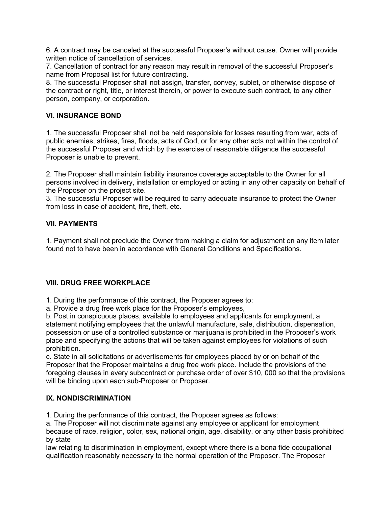6. A contract may be canceled at the successful Proposer's without cause. Owner will provide written notice of cancellation of services.

7. Cancellation of contract for any reason may result in removal of the successful Proposer's name from Proposal list for future contracting.

8. The successful Proposer shall not assign, transfer, convey, sublet, or otherwise dispose of the contract or right, title, or interest therein, or power to execute such contract, to any other person, company, or corporation.

## **VI. INSURANCE BOND**

1. The successful Proposer shall not be held responsible for losses resulting from war, acts of public enemies, strikes, fires, floods, acts of God, or for any other acts not within the control of the successful Proposer and which by the exercise of reasonable diligence the successful Proposer is unable to prevent.

2. The Proposer shall maintain liability insurance coverage acceptable to the Owner for all persons involved in delivery, installation or employed or acting in any other capacity on behalf of the Proposer on the project site.

3. The successful Proposer will be required to carry adequate insurance to protect the Owner from loss in case of accident, fire, theft, etc.

## **VII. PAYMENTS**

1. Payment shall not preclude the Owner from making a claim for adjustment on any item later found not to have been in accordance with General Conditions and Specifications.

## **VIII. DRUG FREE WORKPLACE**

1. During the performance of this contract, the Proposer agrees to:

a. Provide a drug free work place for the Proposer's employees,

b. Post in conspicuous places, available to employees and applicants for employment, a statement notifying employees that the unlawful manufacture, sale, distribution, dispensation, possession or use of a controlled substance or marijuana is prohibited in the Proposer's work place and specifying the actions that will be taken against employees for violations of such prohibition.

c. State in all solicitations or advertisements for employees placed by or on behalf of the Proposer that the Proposer maintains a drug free work place. Include the provisions of the foregoing clauses in every subcontract or purchase order of over \$10, 000 so that the provisions will be binding upon each sub-Proposer or Proposer.

## **IX. NONDISCRIMINATION**

1. During the performance of this contract, the Proposer agrees as follows:

a. The Proposer will not discriminate against any employee or applicant for employment because of race, religion, color, sex, national origin, age, disability, or any other basis prohibited by state

law relating to discrimination in employment, except where there is a bona fide occupational qualification reasonably necessary to the normal operation of the Proposer. The Proposer